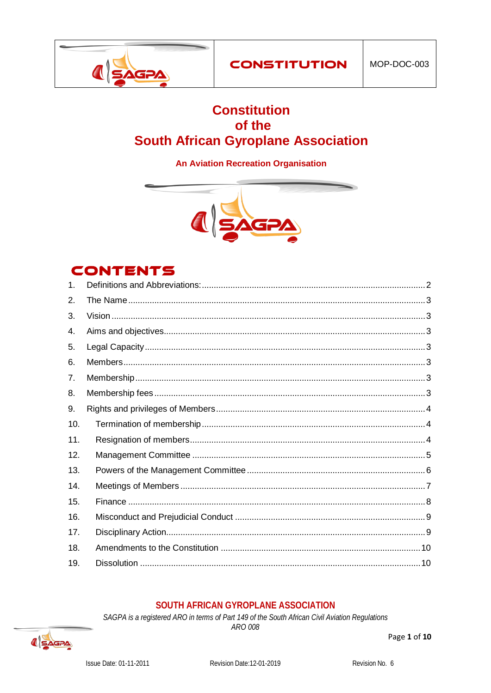

# **Constitution** of the **South African Gyroplane Association**

# **An Aviation Recreation Organisation**



# **CONTENTS**

| $\mathbf 1$ |  |
|-------------|--|
| 2.          |  |
| 3.          |  |
| 4.          |  |
| 5.          |  |
| 6.          |  |
| 7.          |  |
| 8.          |  |
| 9.          |  |
| 10.         |  |
| 11.         |  |
| 12.         |  |
| 13.         |  |
| 14.         |  |
| 15.         |  |
| 16.         |  |
| 17.         |  |
| 18.         |  |
| 19.         |  |
|             |  |

# SOUTH AFRICAN GYROPLANE ASSOCIATION

SAGPA is a registered ARO in terms of Part 149 of the South African Civil Aviation Regulations



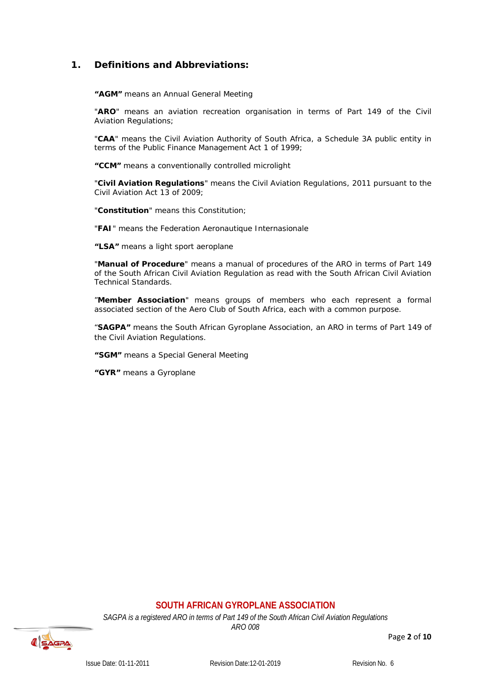# <span id="page-1-0"></span>**1. Definitions and Abbreviations:**

**"AGM"** means an Annual General Meeting

"**ARO**" means an aviation recreation organisation in terms of Part 149 of the Civil Aviation Regulations;

"**CAA**" means the Civil Aviation Authority of South Africa, a Schedule 3A public entity in terms of the Public Finance Management Act 1 of 1999;

**"CCM"** means a conventionally controlled microlight

"**Civil Aviation Regulations**" means the Civil Aviation Regulations, 2011 pursuant to the Civil Aviation Act 13 of 2009;

"**Constitution**" means this Constitution;

"**FAI**" means the Federation Aeronautique Internasionale

**"LSA"** means a light sport aeroplane

"**Manual of Procedure**" means a manual of procedures of the ARO in terms of Part 149 of the South African Civil Aviation Regulation as read with the South African Civil Aviation Technical Standards.

"**Member Association**" means groups of members who each represent a formal associated section of the Aero Club of South Africa, each with a common purpose.

"**SAGPA"** means the South African Gyroplane Association, an ARO in terms of Part 149 of the Civil Aviation Regulations.

**"SGM"** means a Special General Meeting

**"GYR"** means a Gyroplane

# **SOUTH AFRICAN GYROPLANE ASSOCIATION**

*SAGPA is a registered ARO in terms of Part 149 of the South African Civil Aviation Regulations*

<span id="page-1-1"></span>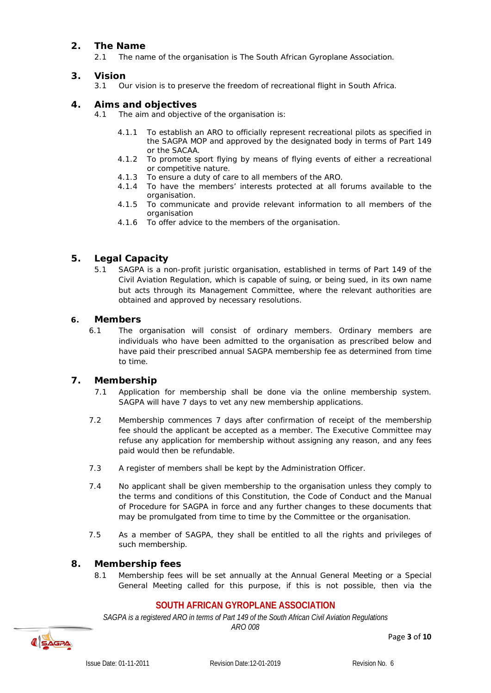# **2. The Name**

2.1 The name of the organisation is The South African Gyroplane Association.

# <span id="page-2-0"></span>**3. Vision**

Our vision is to preserve the freedom of recreational flight in South Africa.

# <span id="page-2-1"></span>**4. Aims and objectives**

- 4.1 The aim and objective of the organisation is:
	- 4.1.1 To establish an ARO to officially represent recreational pilots as specified in the SAGPA MOP and approved by the designated body in terms of Part 149 or the SACAA.
	- 4.1.2 To promote sport flying by means of flying events of either a recreational or competitive nature.
	- 4.1.3 To ensure a duty of care to all members of the ARO.
	- 4.1.4 To have the members' interests protected at all forums available to the organisation.
	- 4.1.5 To communicate and provide relevant information to all members of the organisation
	- 4.1.6 To offer advice to the members of the organisation.

# <span id="page-2-2"></span>**5. Legal Capacity**

5.1 SAGPA is a non-profit juristic organisation, established in terms of Part 149 of the Civil Aviation Regulation, which is capable of suing, or being sued, in its own name but acts through its Management Committee, where the relevant authorities are obtained and approved by necessary resolutions.

# <span id="page-2-3"></span>**6. Members**

6.1 The organisation will consist of ordinary members. Ordinary members are individuals who have been admitted to the organisation as prescribed below and have paid their prescribed annual SAGPA membership fee as determined from time to time.

# <span id="page-2-4"></span>**7. Membership**

- 7.1 Application for membership shall be done via the online membership system. SAGPA will have 7 days to vet any new membership applications.
- 7.2 Membership commences 7 days after confirmation of receipt of the membership fee should the applicant be accepted as a member. The Executive Committee may refuse any application for membership without assigning any reason, and any fees paid would then be refundable.
- 7.3 A register of members shall be kept by the Administration Officer.
- 7.4 No applicant shall be given membership to the organisation unless they comply to the terms and conditions of this Constitution, the Code of Conduct and the Manual of Procedure for SAGPA in force and any further changes to these documents that may be promulgated from time to time by the Committee or the organisation.
- 7.5 As a member of SAGPA, they shall be entitled to all the rights and privileges of such membership.

# <span id="page-2-5"></span>**8. Membership fees**

8.1 Membership fees will be set annually at the Annual General Meeting or a Special General Meeting called for this purpose, if this is not possible, then via the

# **SOUTH AFRICAN GYROPLANE ASSOCIATION**

*SAGPA is a registered ARO in terms of Part 149 of the South African Civil Aviation Regulations*



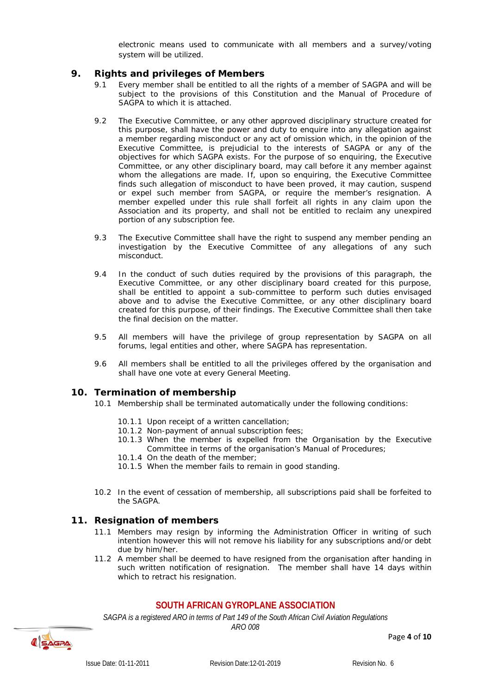electronic means used to communicate with all members and a survey/voting system will be utilized.

#### <span id="page-3-0"></span>**9. Rights and privileges of Members**

- 9.1 Every member shall be entitled to all the rights of a member of SAGPA and will be subject to the provisions of this Constitution and the Manual of Procedure of SAGPA to which it is attached.
- 9.2 The Executive Committee, or any other approved disciplinary structure created for this purpose, shall have the power and duty to enquire into any allegation against a member regarding misconduct or any act of omission which, in the opinion of the Executive Committee, is prejudicial to the interests of SAGPA or any of the objectives for which SAGPA exists. For the purpose of so enquiring, the Executive Committee, or any other disciplinary board, may call before it any member against whom the allegations are made. If, upon so enquiring, the Executive Committee finds such allegation of misconduct to have been proved, it may caution, suspend or expel such member from SAGPA, or require the member's resignation. A member expelled under this rule shall forfeit all rights in any claim upon the Association and its property, and shall not be entitled to reclaim any unexpired portion of any subscription fee.
- 9.3 The Executive Committee shall have the right to suspend any member pending an investigation by the Executive Committee of any allegations of any such misconduct.
- 9.4 In the conduct of such duties required by the provisions of this paragraph, the Executive Committee, or any other disciplinary board created for this purpose, shall be entitled to appoint a sub-committee to perform such duties envisaged above and to advise the Executive Committee, or any other disciplinary board created for this purpose, of their findings. The Executive Committee shall then take the final decision on the matter.
- 9.5 All members will have the privilege of group representation by SAGPA on all forums, legal entities and other, where SAGPA has representation.
- 9.6 All members shall be entitled to all the privileges offered by the organisation and shall have one vote at every General Meeting.

#### <span id="page-3-1"></span>**10. Termination of membership**

- 10.1 Membership shall be terminated automatically under the following conditions:
	- 10.1.1 Upon receipt of a written cancellation;
	- 10.1.2 Non-payment of annual subscription fees;
	- 10.1.3 When the member is expelled from the Organisation by the Executive Committee in terms of the organisation's Manual of Procedures;
	- 10.1.4 On the death of the member;
	- 10.1.5 When the member fails to remain in good standing.
- 10.2 In the event of cessation of membership, all subscriptions paid shall be forfeited to the SAGPA.

#### <span id="page-3-2"></span>**11. Resignation of members**

- 11.1 Members may resign by informing the Administration Officer in writing of such intention however this will not remove his liability for any subscriptions and/or debt due by him/her.
- 11.2 A member shall be deemed to have resigned from the organisation after handing in such written notification of resignation. The member shall have 14 days within which to retract his resignation.

# **SOUTH AFRICAN GYROPLANE ASSOCIATION**

*SAGPA is a registered ARO in terms of Part 149 of the South African Civil Aviation Regulations*



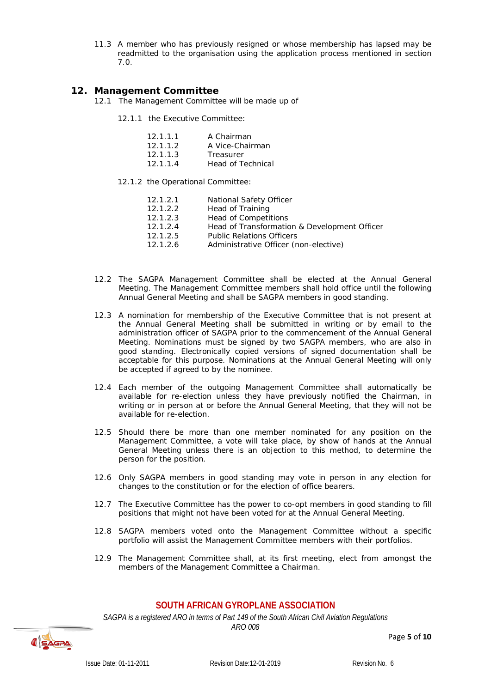11.3 A member who has previously resigned or whose membership has lapsed may be readmitted to the organisation using the application process mentioned in section 7.0.

#### <span id="page-4-0"></span>**12. Management Committee**

- 12.1 The Management Committee will be made up of
	- 12.1.1 the Executive Committee:

| 12.1.1.1 | A Chairman      |
|----------|-----------------|
| 12.1.1.2 | A Vice-Chairman |
| 12.1.1.3 | Treasurer       |

- 12.1.1.4 Head of Technical
- 12.1.2 the Operational Committee:
	-
	- Head of Training
	- **Head of Competitions**
	- 12.1.2.1 National Safety Officer<br>
	12.1.2.2 Head of Training<br>
	12.1.2.3 Head of Competitions<br>
	12.1.2.4 Head of Transformation<br>
	12.1.2.5 Public Relations Officer<br>
	12.1.2.6 Administrative Officer Head of Transformation & Development Officer
	- Public Relations Officers
	- Administrative Officer (non-elective)
- 12.2 The SAGPA Management Committee shall be elected at the Annual General Meeting. The Management Committee members shall hold office until the following Annual General Meeting and shall be SAGPA members in good standing.
- 12.3 A nomination for membership of the Executive Committee that is not present at the Annual General Meeting shall be submitted in writing or by email to the administration officer of SAGPA prior to the commencement of the Annual General Meeting. Nominations must be signed by two SAGPA members, who are also in good standing. Electronically copied versions of signed documentation shall be acceptable for this purpose. Nominations at the Annual General Meeting will only be accepted if agreed to by the nominee.
- 12.4 Each member of the outgoing Management Committee shall automatically be available for re-election unless they have previously notified the Chairman, in writing or in person at or before the Annual General Meeting, that they will not be available for re-election.
- 12.5 Should there be more than one member nominated for any position on the Management Committee, a vote will take place, by show of hands at the Annual General Meeting unless there is an objection to this method, to determine the person for the position.
- 12.6 Only SAGPA members in good standing may vote in person in any election for changes to the constitution or for the election of office bearers.
- 12.7 The Executive Committee has the power to co-opt members in good standing to fill positions that might not have been voted for at the Annual General Meeting.
- 12.8 SAGPA members voted onto the Management Committee without a specific portfolio will assist the Management Committee members with their portfolios.
- 12.9 The Management Committee shall, at its first meeting, elect from amongst the members of the Management Committee a Chairman.

#### **SOUTH AFRICAN GYROPLANE ASSOCIATION**

*SAGPA is a registered ARO in terms of Part 149 of the South African Civil Aviation Regulations*

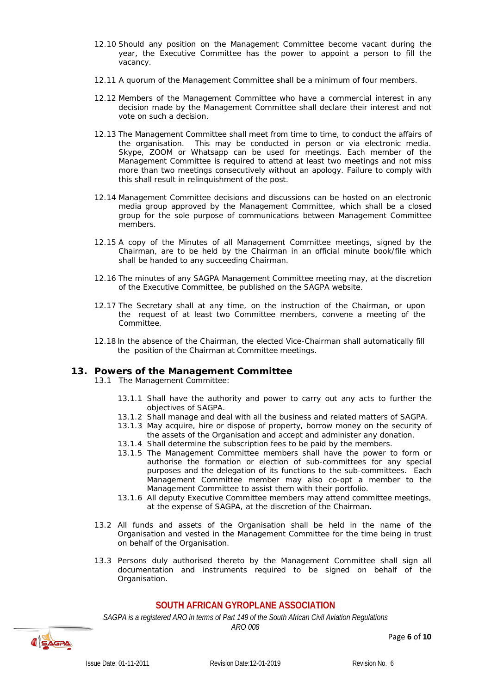- 12.10 Should any position on the Management Committee become vacant during the year, the Executive Committee has the power to appoint a person to fill the vacancy.
- 12.11 A quorum of the Management Committee shall be a minimum of four members.
- 12.12 Members of the Management Committee who have a commercial interest in any decision made by the Management Committee shall declare their interest and not vote on such a decision.
- 12.13 The Management Committee shall meet from time to time, to conduct the affairs of the organisation. This may be conducted in person or via electronic media. Skype, ZOOM or Whatsapp can be used for meetings. Each member of the Management Committee is required to attend at least two meetings and not miss more than two meetings consecutively without an apology. Failure to comply with this shall result in relinquishment of the post.
- 12.14 Management Committee decisions and discussions can be hosted on an electronic media group approved by the Management Committee, which shall be a closed group for the sole purpose of communications between Management Committee members.
- 12.15 A copy of the Minutes of all Management Committee meetings, signed by the Chairman, are to be held by the Chairman in an official minute book/file which shall be handed to any succeeding Chairman.
- 12.16 The minutes of any SAGPA Management Committee meeting may, at the discretion of the Executive Committee, be published on the SAGPA website.
- 12.17 The Secretary shall at any time, on the instruction of the Chairman, or upon the request of at least two Committee members, convene a meeting of the Committee.
- 12.18 ln the absence of the Chairman, the elected Vice-Chairman shall automatically fill the position of the Chairman at Committee meetings.

#### <span id="page-5-0"></span>**13. Powers of the Management Committee**

- 13.1 The Management Committee:
	- 13.1.1 Shall have the authority and power to carry out any acts to further the objectives of SAGPA.
	- 13.1.2 Shall manage and deal with all the business and related matters of SAGPA.
	- 13.1.3 May acquire, hire or dispose of property, borrow money on the security of the assets of the Organisation and accept and administer any donation.
	- 13.1.4 Shall determine the subscription fees to be paid by the members.
	- 13.1.5 The Management Committee members shall have the power to form or authorise the formation or election of sub-committees for any special purposes and the delegation of its functions to the sub-committees. Each Management Committee member may also co-opt a member to the Management Committee to assist them with their portfolio.
	- 13.1.6 All deputy Executive Committee members may attend committee meetings, at the expense of SAGPA, at the discretion of the Chairman.
- 13.2 All funds and assets of the Organisation shall be held in the name of the Organisation and vested in the Management Committee for the time being in trust on behalf of the Organisation.
- 13.3 Persons duly authorised thereto by the Management Committee shall sign all documentation and instruments required to be signed on behalf of the Organisation.

#### **SOUTH AFRICAN GYROPLANE ASSOCIATION**

*SAGPA is a registered ARO in terms of Part 149 of the South African Civil Aviation Regulations*



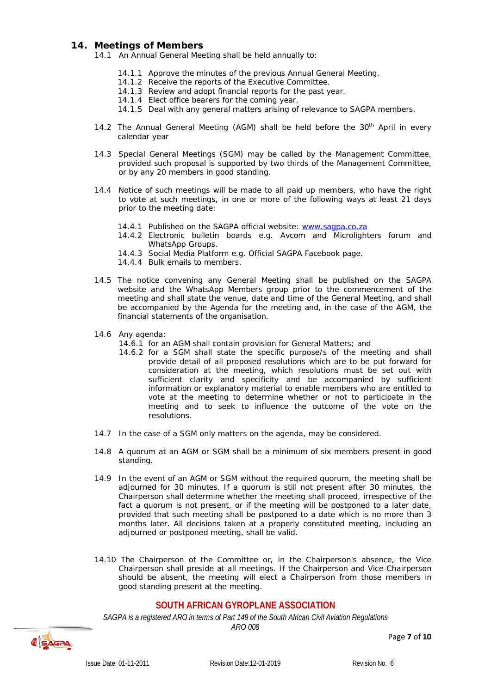#### <span id="page-6-0"></span>**14. Meetings of Members**

14.1 An Annual General Meeting shall be held annually to:

- 14.1.1 Approve the minutes of the previous Annual General Meeting.
- 14.1.2 Receive the reports of the Executive Committee.
- 14.1.3 Review and adopt financial reports for the past year.
- 14.1.4 Elect office bearers for the coming year.
- 14.1.5 Deal with any general matters arising of relevance to SAGPA members.
- 14.2 The Annual General Meeting (AGM) shall be held before the  $30<sup>th</sup>$  April in every calendar year
- 14.3 Special General Meetings (SGM) may be called by the Management Committee, provided such proposal is supported by two thirds of the Management Committee, or by any 20 members in good standing.
- 14.4 Notice of such meetings will be made to all paid up members, who have the right to vote at such meetings, in one or more of the following ways at least 21 days prior to the meeting date:
	- 14.4.1 Published on the SAGPA official website: [www.sagpa.co.za](http://www.sagpa.co.za/)
	- 14.4.2 Electronic bulletin boards e.g. Avcom and Microlighters forum and WhatsApp Groups.
	- 14.4.3 Social Media Platform e.g. Official SAGPA Facebook page.
	- 14.4.4 Bulk emails to members.
- 14.5 The notice convening any General Meeting shall be published on the SAGPA website and the WhatsApp Members group prior to the commencement of the meeting and shall state the venue, date and time of the General Meeting, and shall be accompanied by the Agenda for the meeting and, in the case of the AGM, the financial statements of the organisation.
- 14.6 Any agenda:
	- 14.6.1 for an AGM shall contain provision for General Matters; and
	- 14.6.2 for a SGM shall state the specific purpose/s of the meeting and shall provide detail of all proposed resolutions which are to be put forward for consideration at the meeting, which resolutions must be set out with sufficient clarity and specificity and be accompanied by sufficient information or explanatory material to enable members who are entitled to vote at the meeting to determine whether or not to participate in the meeting and to seek to influence the outcome of the vote on the resolutions.
- 14.7 In the case of a SGM only matters on the agenda, may be considered.
- 14.8 A quorum at an AGM or SGM shall be a minimum of six members present in good standing.
- 14.9 In the event of an AGM or SGM without the required quorum, the meeting shall be adjourned for 30 minutes. If a quorum is still not present after 30 minutes, the Chairperson shall determine whether the meeting shall proceed, irrespective of the fact a quorum is not present, or if the meeting will be postponed to a later date, provided that such meeting shall be postponed to a date which is no more than 3 months later. All decisions taken at a properly constituted meeting, including an adjourned or postponed meeting, shall be valid.
- 14.10 The Chairperson of the Committee or, in the Chairperson's absence, the Vice Chairperson shall preside at all meetings. If the Chairperson and Vice-Chairperson should be absent, the meeting will elect a Chairperson from those members in good standing present at the meeting.

#### **SOUTH AFRICAN GYROPLANE ASSOCIATION**

*SAGPA is a registered ARO in terms of Part 149 of the South African Civil Aviation Regulations*



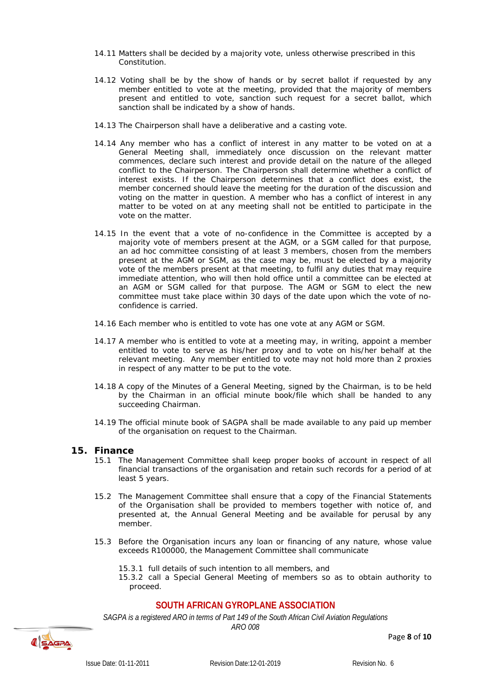- 14.11 Matters shall be decided by a majority vote, unless otherwise prescribed in this Constitution.
- 14.12 Voting shall be by the show of hands or by secret ballot if requested by any member entitled to vote at the meeting, provided that the majority of members present and entitled to vote, sanction such request for a secret ballot, which sanction shall be indicated by a show of hands.
- 14.13 The Chairperson shall have a deliberative and a casting vote.
- 14.14 Any member who has a conflict of interest in any matter to be voted on at a General Meeting shall, immediately once discussion on the relevant matter commences, declare such interest and provide detail on the nature of the alleged conflict to the Chairperson. The Chairperson shall determine whether a conflict of interest exists. If the Chairperson determines that a conflict does exist, the member concerned should leave the meeting for the duration of the discussion and voting on the matter in question. A member who has a conflict of interest in any matter to be voted on at any meeting shall not be entitled to participate in the vote on the matter.
- 14.15 In the event that a vote of no-confidence in the Committee is accepted by a majority vote of members present at the AGM, or a SGM called for that purpose, an ad hoc committee consisting of at least 3 members, chosen from the members present at the AGM or SGM, as the case may be, must be elected by a majority vote of the members present at that meeting, to fulfil any duties that may require immediate attention, who will then hold office until a committee can be elected at an AGM or SGM called for that purpose. The AGM or SGM to elect the new committee must take place within 30 days of the date upon which the vote of noconfidence is carried.
- 14.16 Each member who is entitled to vote has one vote at any AGM or SGM.
- 14.17 A member who is entitled to vote at a meeting may, in writing, appoint a member entitled to vote to serve as his/her proxy and to vote on his/her behalf at the relevant meeting. Any member entitled to vote may not hold more than 2 proxies in respect of any matter to be put to the vote.
- 14.18 A copy of the Minutes of a General Meeting, signed by the Chairman, is to be held by the Chairman in an official minute book/file which shall be handed to any succeeding Chairman.
- 14.19 The official minute book of SAGPA shall be made available to any paid up member of the organisation on request to the Chairman.

#### <span id="page-7-0"></span>**15. Finance**

- 15.1 The Management Committee shall keep proper books of account in respect of all financial transactions of the organisation and retain such records for a period of at least 5 years.
- 15.2 The Management Committee shall ensure that a copy of the Financial Statements of the Organisation shall be provided to members together with notice of, and presented at, the Annual General Meeting and be available for perusal by any member.
- 15.3 Before the Organisation incurs any loan or financing of any nature, whose value exceeds R100000, the Management Committee shall communicate
	- 15.3.1 full details of such intention to all members, and
	- 15.3.2 call a Special General Meeting of members so as to obtain authority to proceed.

# **SOUTH AFRICAN GYROPLANE ASSOCIATION**

*SAGPA is a registered ARO in terms of Part 149 of the South African Civil Aviation Regulations*



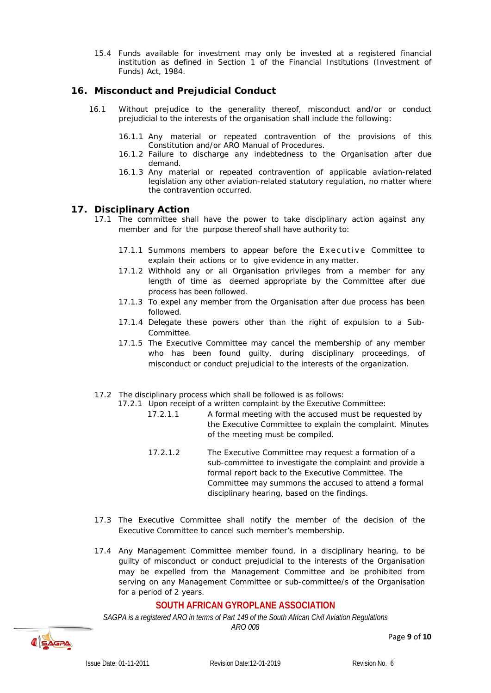15.4 Funds available for investment may only be invested at a registered financial institution as defined in Section 1 of the Financial Institutions (Investment of Funds) Act, 1984.

#### <span id="page-8-0"></span>**16. Misconduct and Prejudicial Conduct**

- 16.1 Without prejudice to the generality thereof, misconduct and/or or conduct prejudicial to the interests of the organisation shall include the following:
	- 16.1.1 Any material or repeated contravention of the provisions of this Constitution and/or ARO Manual of Procedures.
	- 16.1.2 Failure to discharge any indebtedness to the Organisation after due demand.
	- 16.1.3 Any material or repeated contravention of applicable aviation-related legislation any other aviation-related statutory regulation, no matter where the contravention occurred.

#### <span id="page-8-1"></span>**17. Disciplinary Action**

- 17.1 The committee shall have the power to take disciplinary action against any member and for the purpose thereof shall have authority to:
	- 17.1.1 Summons members to appear before the Executive Committee to explain their actions or to give evidence in any matter.
	- 17.1.2 Withhold any or all Organisation privileges from a member for any length of time as deemed appropriate by the Committee after due process has been followed.
	- 17.1.3 To expel any member from the Organisation after due process has been followed.
	- 17.1.4 Delegate these powers other than the right of expulsion to a Sub-Committee.
	- 17.1.5 The Executive Committee may cancel the membership of any member who has been found guilty, during disciplinary proceedings, of misconduct or conduct prejudicial to the interests of the organization.
- 17.2 The disciplinary process which shall be followed is as follows:

17.2.1 Upon receipt of a written complaint by the Executive Committee:

- 17.2.1.1 A formal meeting with the accused must be requested by the Executive Committee to explain the complaint. Minutes of the meeting must be compiled.
	- 17.2.1.2 The Executive Committee may request a formation of a sub-committee to investigate the complaint and provide a formal report back to the Executive Committee. The Committee may summons the accused to attend a formal disciplinary hearing, based on the findings.
- 17.3 The Executive Committee shall notify the member of the decision of the Executive Committee to cancel such member's membership.
- 17.4 Any Management Committee member found, in a disciplinary hearing, to be guilty of misconduct or conduct prejudicial to the interests of the Organisation may be expelled from the Management Committee and be prohibited from serving on any Management Committee or sub-committee/s of the Organisation for a period of 2 years.

# **SOUTH AFRICAN GYROPLANE ASSOCIATION**

*SAGPA is a registered ARO in terms of Part 149 of the South African Civil Aviation Regulations*